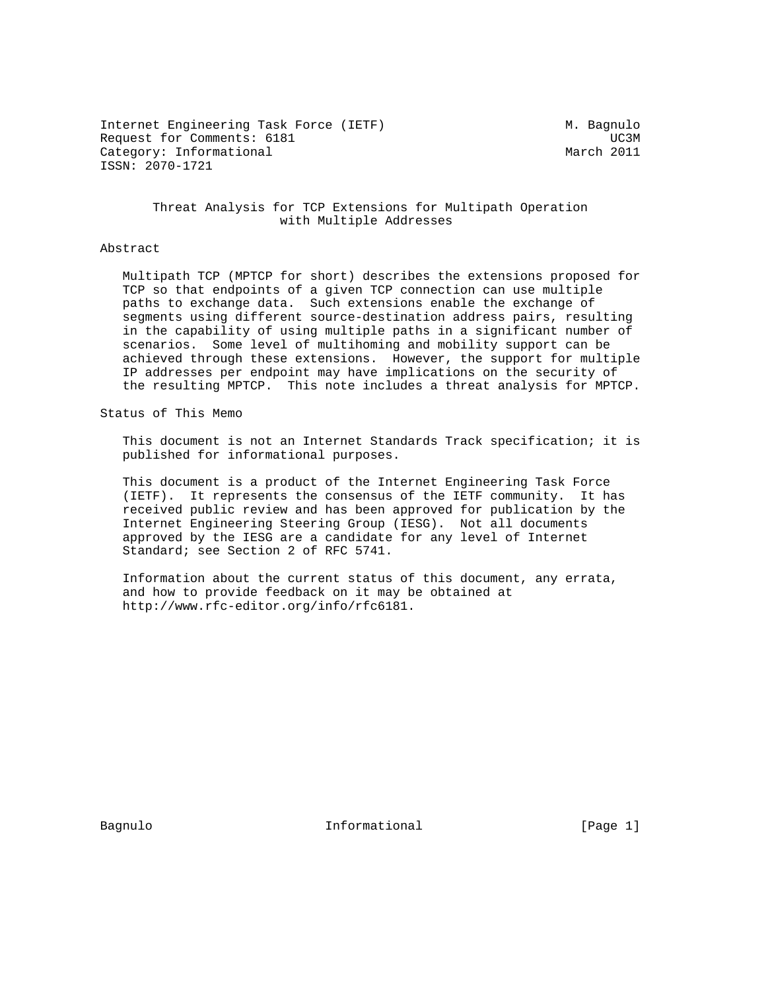Internet Engineering Task Force (IETF) M. Bagnulo Request for Comments: 6181 and the comments of the comments of the comments of the comments of the comments of the comments of the comments of the comments of the comments of the comments of the comments of the comments of Category: Informational and March 2011 ISSN: 2070-1721

### Threat Analysis for TCP Extensions for Multipath Operation with Multiple Addresses

#### Abstract

 Multipath TCP (MPTCP for short) describes the extensions proposed for TCP so that endpoints of a given TCP connection can use multiple paths to exchange data. Such extensions enable the exchange of segments using different source-destination address pairs, resulting in the capability of using multiple paths in a significant number of scenarios. Some level of multihoming and mobility support can be achieved through these extensions. However, the support for multiple IP addresses per endpoint may have implications on the security of the resulting MPTCP. This note includes a threat analysis for MPTCP.

Status of This Memo

 This document is not an Internet Standards Track specification; it is published for informational purposes.

 This document is a product of the Internet Engineering Task Force (IETF). It represents the consensus of the IETF community. It has received public review and has been approved for publication by the Internet Engineering Steering Group (IESG). Not all documents approved by the IESG are a candidate for any level of Internet Standard; see Section 2 of RFC 5741.

 Information about the current status of this document, any errata, and how to provide feedback on it may be obtained at http://www.rfc-editor.org/info/rfc6181.

Bagnulo 10 Informational 1 (Page 1)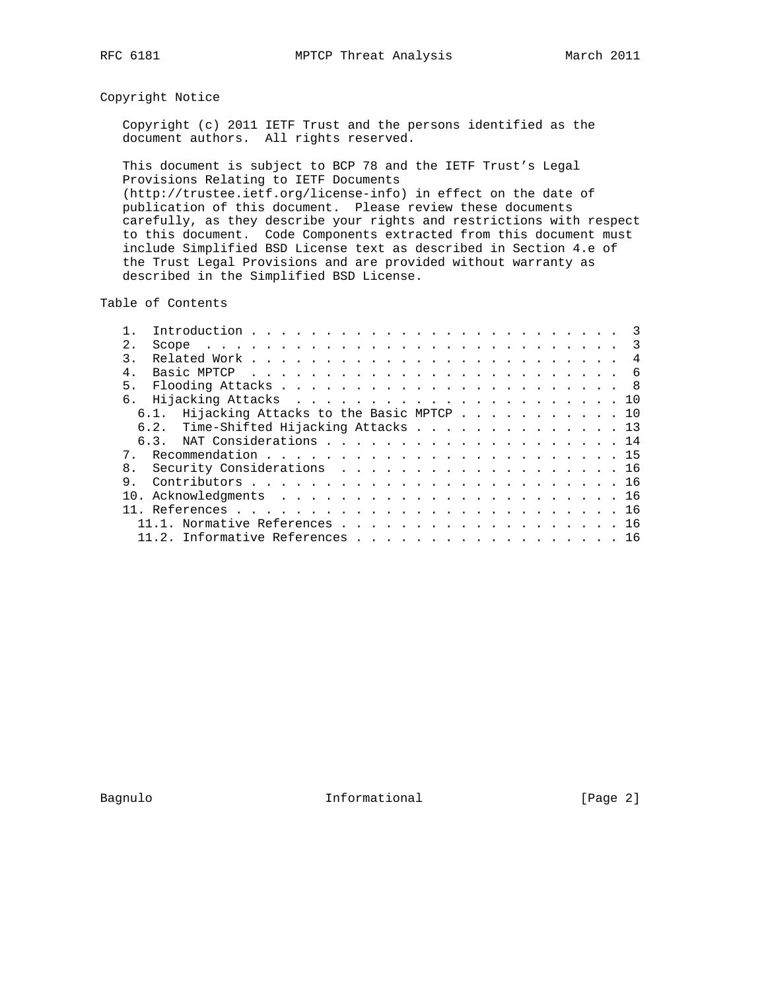## Copyright Notice

 Copyright (c) 2011 IETF Trust and the persons identified as the document authors. All rights reserved.

 This document is subject to BCP 78 and the IETF Trust's Legal Provisions Relating to IETF Documents (http://trustee.ietf.org/license-info) in effect on the date of publication of this document. Please review these documents carefully, as they describe your rights and restrictions with respect to this document. Code Components extracted from this document must include Simplified BSD License text as described in Section 4.e of the Trust Legal Provisions and are provided without warranty as described in the Simplified BSD License.

Table of Contents

|    |                                         | $\overline{\mathbf{3}}$ |
|----|-----------------------------------------|-------------------------|
| 2. |                                         |                         |
|    |                                         |                         |
|    |                                         |                         |
| 5. |                                         |                         |
|    |                                         |                         |
|    | Hijacking Attacks to the Basic MPTCP 10 |                         |
|    | 6.2. Time-Shifted Hijacking Attacks 13  |                         |
|    |                                         |                         |
| 7  |                                         |                         |
| 8. | Security Considerations 16              |                         |
| 9  |                                         |                         |
|    |                                         |                         |
|    |                                         |                         |
|    | 11.1. Normative References 16           |                         |
|    | 11.2. Informative References 16         |                         |

Bagnulo 1nformational [Page 2]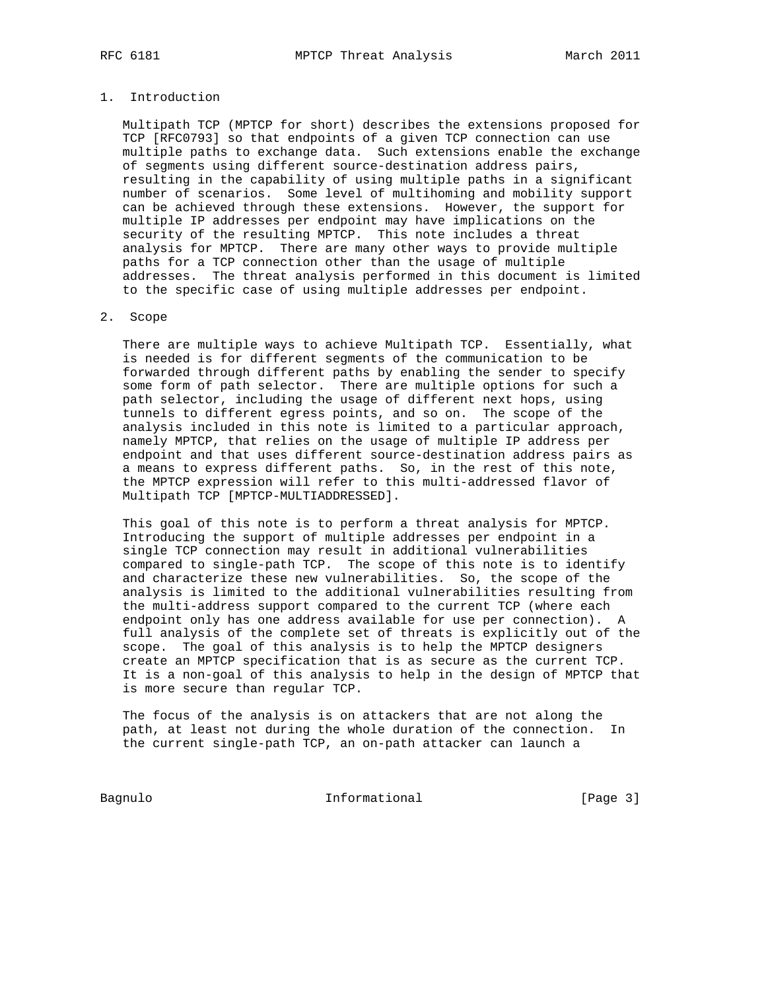### 1. Introduction

 Multipath TCP (MPTCP for short) describes the extensions proposed for TCP [RFC0793] so that endpoints of a given TCP connection can use multiple paths to exchange data. Such extensions enable the exchange of segments using different source-destination address pairs, resulting in the capability of using multiple paths in a significant number of scenarios. Some level of multihoming and mobility support can be achieved through these extensions. However, the support for multiple IP addresses per endpoint may have implications on the security of the resulting MPTCP. This note includes a threat analysis for MPTCP. There are many other ways to provide multiple paths for a TCP connection other than the usage of multiple addresses. The threat analysis performed in this document is limited to the specific case of using multiple addresses per endpoint.

### 2. Scope

 There are multiple ways to achieve Multipath TCP. Essentially, what is needed is for different segments of the communication to be forwarded through different paths by enabling the sender to specify some form of path selector. There are multiple options for such a path selector, including the usage of different next hops, using tunnels to different egress points, and so on. The scope of the analysis included in this note is limited to a particular approach, namely MPTCP, that relies on the usage of multiple IP address per endpoint and that uses different source-destination address pairs as a means to express different paths. So, in the rest of this note, the MPTCP expression will refer to this multi-addressed flavor of Multipath TCP [MPTCP-MULTIADDRESSED].

 This goal of this note is to perform a threat analysis for MPTCP. Introducing the support of multiple addresses per endpoint in a single TCP connection may result in additional vulnerabilities compared to single-path TCP. The scope of this note is to identify and characterize these new vulnerabilities. So, the scope of the analysis is limited to the additional vulnerabilities resulting from the multi-address support compared to the current TCP (where each endpoint only has one address available for use per connection). A full analysis of the complete set of threats is explicitly out of the scope. The goal of this analysis is to help the MPTCP designers create an MPTCP specification that is as secure as the current TCP. It is a non-goal of this analysis to help in the design of MPTCP that is more secure than regular TCP.

 The focus of the analysis is on attackers that are not along the path, at least not during the whole duration of the connection. In the current single-path TCP, an on-path attacker can launch a

Bagnulo 1nformational [Page 3]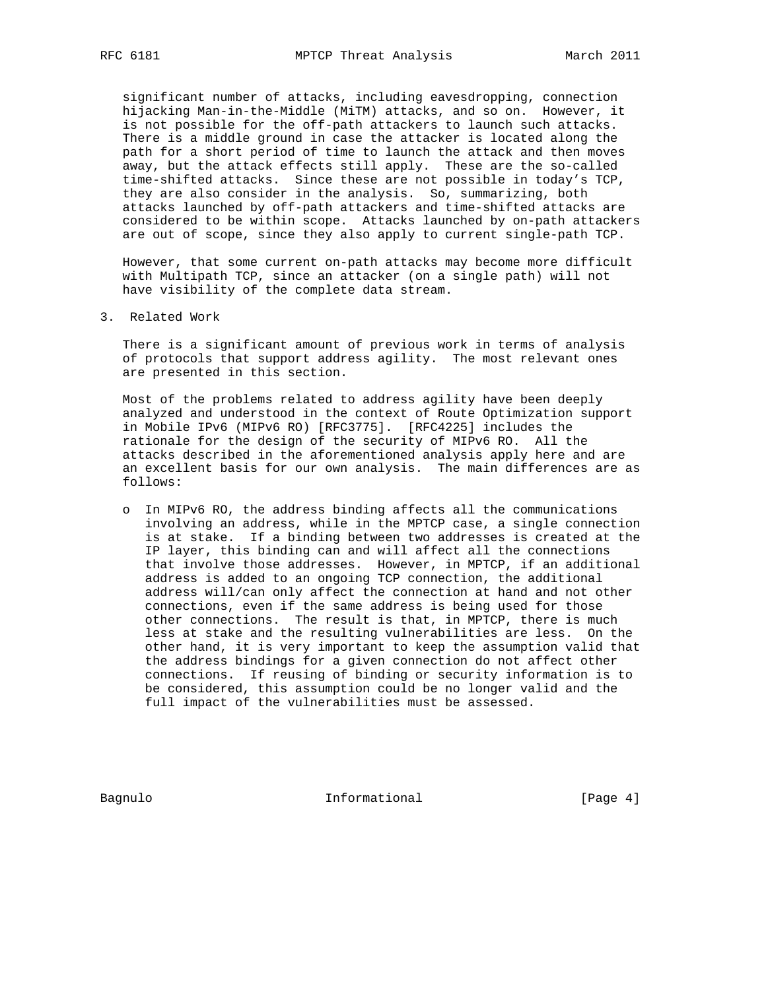significant number of attacks, including eavesdropping, connection hijacking Man-in-the-Middle (MiTM) attacks, and so on. However, it is not possible for the off-path attackers to launch such attacks. There is a middle ground in case the attacker is located along the path for a short period of time to launch the attack and then moves away, but the attack effects still apply. These are the so-called time-shifted attacks. Since these are not possible in today's TCP, they are also consider in the analysis. So, summarizing, both attacks launched by off-path attackers and time-shifted attacks are considered to be within scope. Attacks launched by on-path attackers are out of scope, since they also apply to current single-path TCP.

 However, that some current on-path attacks may become more difficult with Multipath TCP, since an attacker (on a single path) will not have visibility of the complete data stream.

3. Related Work

 There is a significant amount of previous work in terms of analysis of protocols that support address agility. The most relevant ones are presented in this section.

 Most of the problems related to address agility have been deeply analyzed and understood in the context of Route Optimization support in Mobile IPv6 (MIPv6 RO) [RFC3775]. [RFC4225] includes the rationale for the design of the security of MIPv6 RO. All the attacks described in the aforementioned analysis apply here and are an excellent basis for our own analysis. The main differences are as follows:

 o In MIPv6 RO, the address binding affects all the communications involving an address, while in the MPTCP case, a single connection is at stake. If a binding between two addresses is created at the IP layer, this binding can and will affect all the connections that involve those addresses. However, in MPTCP, if an additional address is added to an ongoing TCP connection, the additional address will/can only affect the connection at hand and not other connections, even if the same address is being used for those other connections. The result is that, in MPTCP, there is much less at stake and the resulting vulnerabilities are less. On the other hand, it is very important to keep the assumption valid that the address bindings for a given connection do not affect other connections. If reusing of binding or security information is to be considered, this assumption could be no longer valid and the full impact of the vulnerabilities must be assessed.

Bagnulo 1nformational 1999 (Page 4)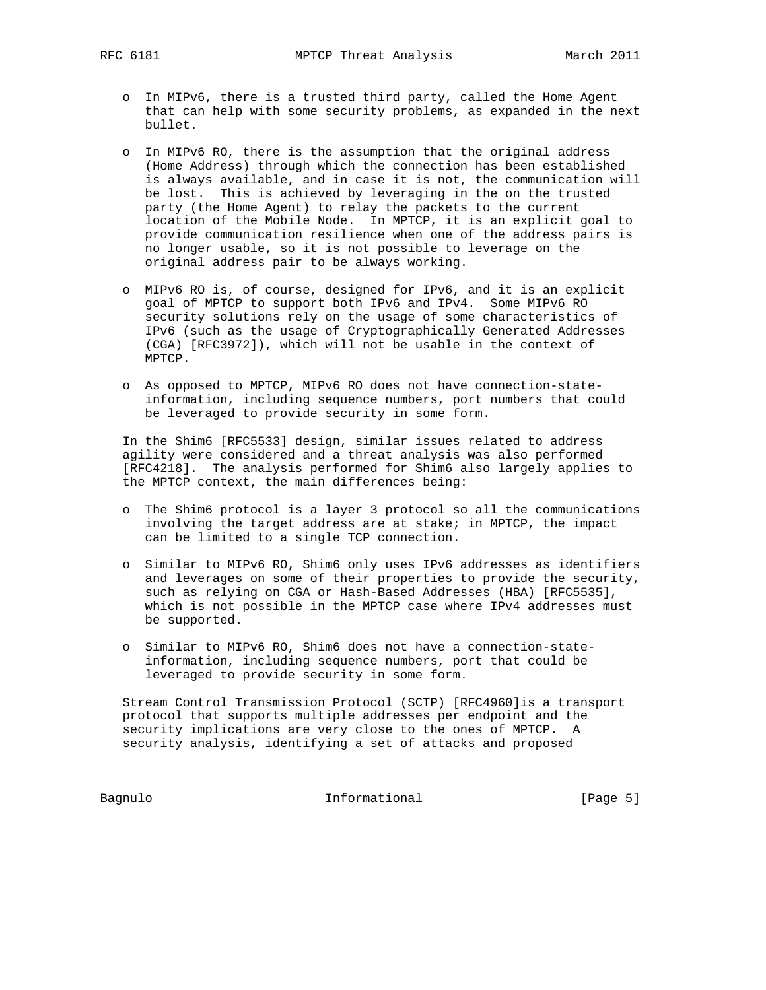- o In MIPv6, there is a trusted third party, called the Home Agent that can help with some security problems, as expanded in the next bullet.
- o In MIPv6 RO, there is the assumption that the original address (Home Address) through which the connection has been established is always available, and in case it is not, the communication will be lost. This is achieved by leveraging in the on the trusted party (the Home Agent) to relay the packets to the current location of the Mobile Node. In MPTCP, it is an explicit goal to provide communication resilience when one of the address pairs is no longer usable, so it is not possible to leverage on the original address pair to be always working.
- o MIPv6 RO is, of course, designed for IPv6, and it is an explicit goal of MPTCP to support both IPv6 and IPv4. Some MIPv6 RO security solutions rely on the usage of some characteristics of IPv6 (such as the usage of Cryptographically Generated Addresses (CGA) [RFC3972]), which will not be usable in the context of MPTCP.
- o As opposed to MPTCP, MIPv6 RO does not have connection-state information, including sequence numbers, port numbers that could be leveraged to provide security in some form.

 In the Shim6 [RFC5533] design, similar issues related to address agility were considered and a threat analysis was also performed [RFC4218]. The analysis performed for Shim6 also largely applies to the MPTCP context, the main differences being:

- o The Shim6 protocol is a layer 3 protocol so all the communications involving the target address are at stake; in MPTCP, the impact can be limited to a single TCP connection.
- o Similar to MIPv6 RO, Shim6 only uses IPv6 addresses as identifiers and leverages on some of their properties to provide the security, such as relying on CGA or Hash-Based Addresses (HBA) [RFC5535], which is not possible in the MPTCP case where IPv4 addresses must be supported.
- o Similar to MIPv6 RO, Shim6 does not have a connection-state information, including sequence numbers, port that could be leveraged to provide security in some form.

 Stream Control Transmission Protocol (SCTP) [RFC4960]is a transport protocol that supports multiple addresses per endpoint and the security implications are very close to the ones of MPTCP. A security analysis, identifying a set of attacks and proposed

Bagnulo 1nformational [Page 5]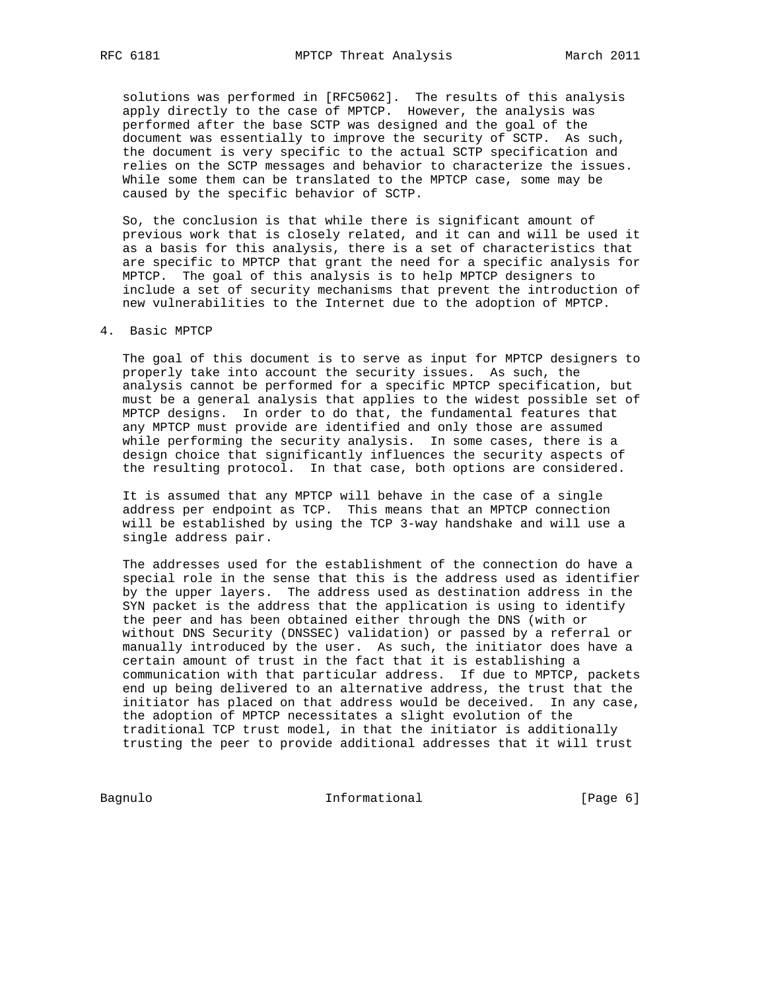solutions was performed in [RFC5062]. The results of this analysis apply directly to the case of MPTCP. However, the analysis was performed after the base SCTP was designed and the goal of the document was essentially to improve the security of SCTP. As such, the document is very specific to the actual SCTP specification and relies on the SCTP messages and behavior to characterize the issues. While some them can be translated to the MPTCP case, some may be caused by the specific behavior of SCTP.

 So, the conclusion is that while there is significant amount of previous work that is closely related, and it can and will be used it as a basis for this analysis, there is a set of characteristics that are specific to MPTCP that grant the need for a specific analysis for MPTCP. The goal of this analysis is to help MPTCP designers to include a set of security mechanisms that prevent the introduction of new vulnerabilities to the Internet due to the adoption of MPTCP.

### 4. Basic MPTCP

 The goal of this document is to serve as input for MPTCP designers to properly take into account the security issues. As such, the analysis cannot be performed for a specific MPTCP specification, but must be a general analysis that applies to the widest possible set of MPTCP designs. In order to do that, the fundamental features that any MPTCP must provide are identified and only those are assumed while performing the security analysis. In some cases, there is a design choice that significantly influences the security aspects of the resulting protocol. In that case, both options are considered.

 It is assumed that any MPTCP will behave in the case of a single address per endpoint as TCP. This means that an MPTCP connection will be established by using the TCP 3-way handshake and will use a single address pair.

 The addresses used for the establishment of the connection do have a special role in the sense that this is the address used as identifier by the upper layers. The address used as destination address in the SYN packet is the address that the application is using to identify the peer and has been obtained either through the DNS (with or without DNS Security (DNSSEC) validation) or passed by a referral or manually introduced by the user. As such, the initiator does have a certain amount of trust in the fact that it is establishing a communication with that particular address. If due to MPTCP, packets end up being delivered to an alternative address, the trust that the initiator has placed on that address would be deceived. In any case, the adoption of MPTCP necessitates a slight evolution of the traditional TCP trust model, in that the initiator is additionally trusting the peer to provide additional addresses that it will trust

Bagnulo 1nformational [Page 6]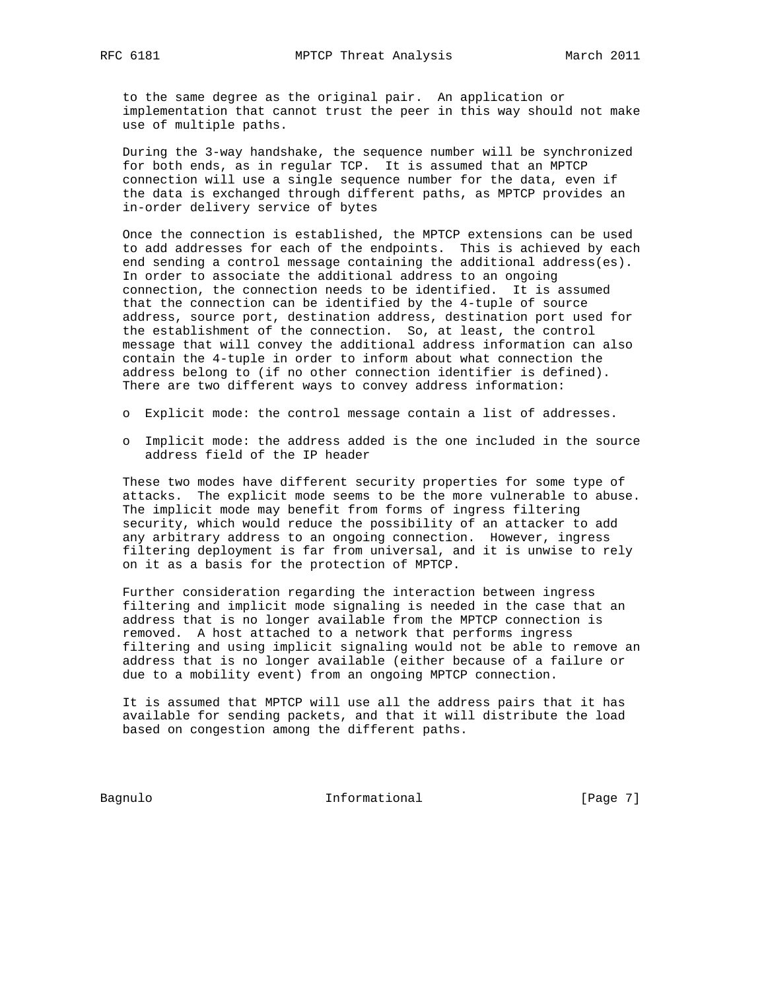to the same degree as the original pair. An application or implementation that cannot trust the peer in this way should not make use of multiple paths.

 During the 3-way handshake, the sequence number will be synchronized for both ends, as in regular TCP. It is assumed that an MPTCP connection will use a single sequence number for the data, even if the data is exchanged through different paths, as MPTCP provides an in-order delivery service of bytes

 Once the connection is established, the MPTCP extensions can be used to add addresses for each of the endpoints. This is achieved by each end sending a control message containing the additional address(es). In order to associate the additional address to an ongoing connection, the connection needs to be identified. It is assumed that the connection can be identified by the 4-tuple of source address, source port, destination address, destination port used for the establishment of the connection. So, at least, the control message that will convey the additional address information can also contain the 4-tuple in order to inform about what connection the address belong to (if no other connection identifier is defined). There are two different ways to convey address information:

- o Explicit mode: the control message contain a list of addresses.
- o Implicit mode: the address added is the one included in the source address field of the IP header

 These two modes have different security properties for some type of attacks. The explicit mode seems to be the more vulnerable to abuse. The implicit mode may benefit from forms of ingress filtering security, which would reduce the possibility of an attacker to add any arbitrary address to an ongoing connection. However, ingress filtering deployment is far from universal, and it is unwise to rely on it as a basis for the protection of MPTCP.

 Further consideration regarding the interaction between ingress filtering and implicit mode signaling is needed in the case that an address that is no longer available from the MPTCP connection is removed. A host attached to a network that performs ingress filtering and using implicit signaling would not be able to remove an address that is no longer available (either because of a failure or due to a mobility event) from an ongoing MPTCP connection.

 It is assumed that MPTCP will use all the address pairs that it has available for sending packets, and that it will distribute the load based on congestion among the different paths.

Bagnulo 1nformational [Page 7]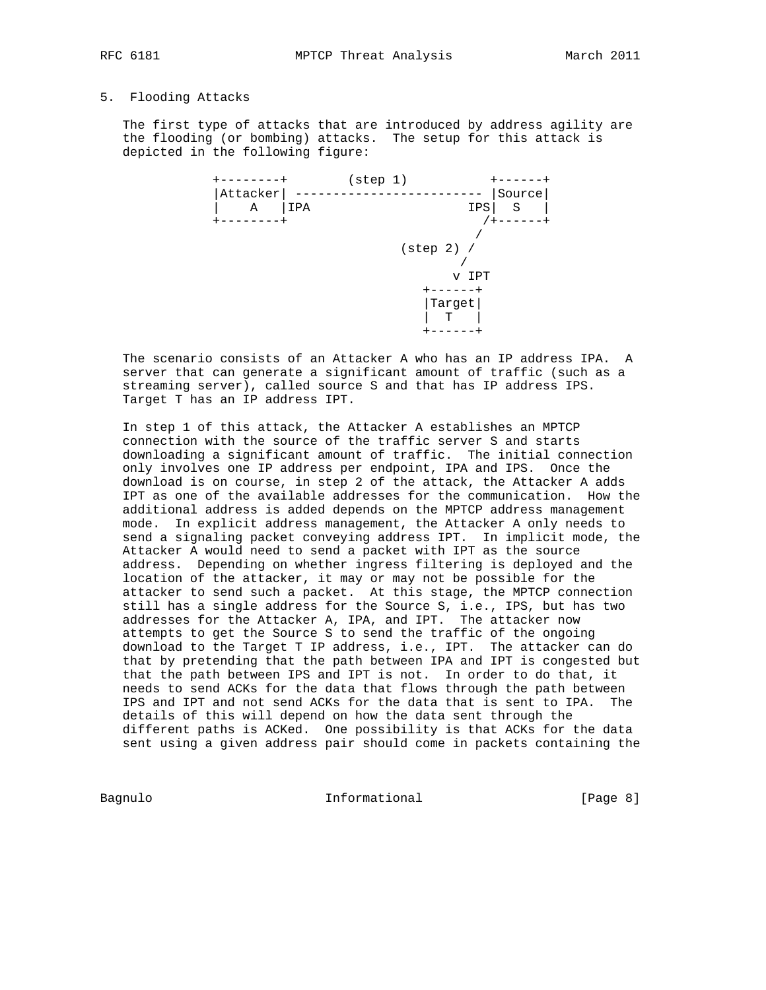#### 5. Flooding Attacks

 The first type of attacks that are introduced by address agility are the flooding (or bombing) attacks. The setup for this attack is depicted in the following figure:



 The scenario consists of an Attacker A who has an IP address IPA. A server that can generate a significant amount of traffic (such as a streaming server), called source S and that has IP address IPS. Target T has an IP address IPT.

 In step 1 of this attack, the Attacker A establishes an MPTCP connection with the source of the traffic server S and starts downloading a significant amount of traffic. The initial connection only involves one IP address per endpoint, IPA and IPS. Once the download is on course, in step 2 of the attack, the Attacker A adds IPT as one of the available addresses for the communication. How the additional address is added depends on the MPTCP address management mode. In explicit address management, the Attacker A only needs to send a signaling packet conveying address IPT. In implicit mode, the Attacker A would need to send a packet with IPT as the source address. Depending on whether ingress filtering is deployed and the location of the attacker, it may or may not be possible for the attacker to send such a packet. At this stage, the MPTCP connection still has a single address for the Source S, i.e., IPS, but has two addresses for the Attacker A, IPA, and IPT. The attacker now attempts to get the Source S to send the traffic of the ongoing download to the Target T IP address, i.e., IPT. The attacker can do that by pretending that the path between IPA and IPT is congested but that the path between IPS and IPT is not. In order to do that, it needs to send ACKs for the data that flows through the path between IPS and IPT and not send ACKs for the data that is sent to IPA. The details of this will depend on how the data sent through the different paths is ACKed. One possibility is that ACKs for the data sent using a given address pair should come in packets containing the

Bagnulo **Informational Informational** [Page 8]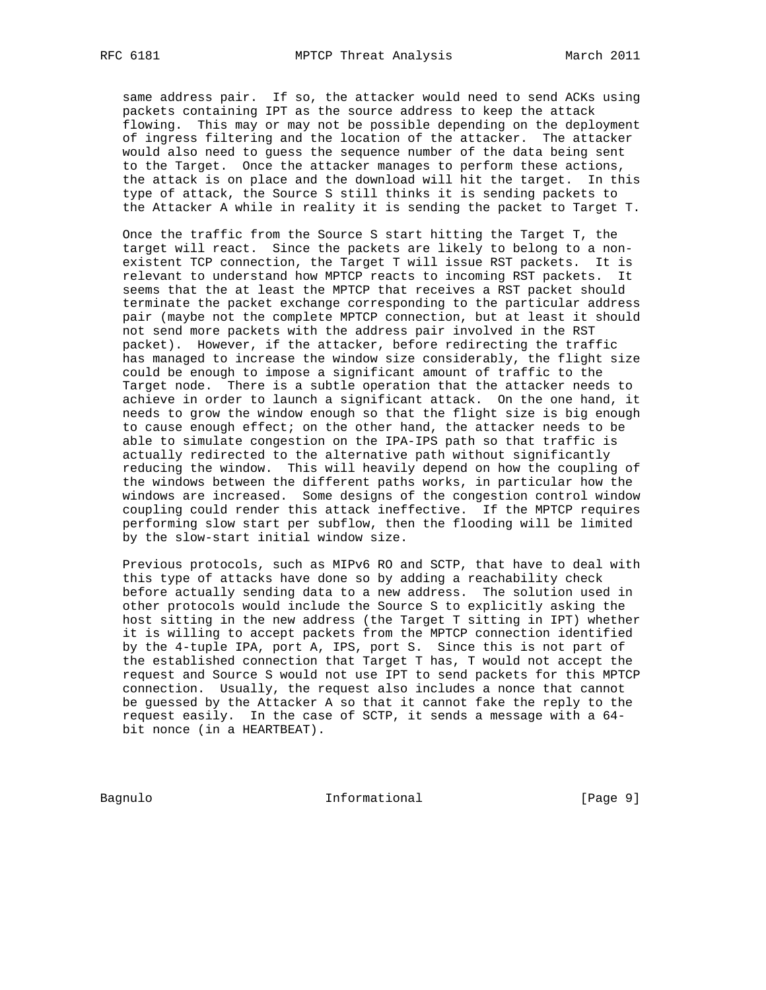same address pair. If so, the attacker would need to send ACKs using packets containing IPT as the source address to keep the attack flowing. This may or may not be possible depending on the deployment of ingress filtering and the location of the attacker. The attacker would also need to guess the sequence number of the data being sent to the Target. Once the attacker manages to perform these actions, the attack is on place and the download will hit the target. In this type of attack, the Source S still thinks it is sending packets to the Attacker A while in reality it is sending the packet to Target T.

 Once the traffic from the Source S start hitting the Target T, the target will react. Since the packets are likely to belong to a non existent TCP connection, the Target T will issue RST packets. It is relevant to understand how MPTCP reacts to incoming RST packets. It seems that the at least the MPTCP that receives a RST packet should terminate the packet exchange corresponding to the particular address pair (maybe not the complete MPTCP connection, but at least it should not send more packets with the address pair involved in the RST packet). However, if the attacker, before redirecting the traffic has managed to increase the window size considerably, the flight size could be enough to impose a significant amount of traffic to the Target node. There is a subtle operation that the attacker needs to achieve in order to launch a significant attack. On the one hand, it needs to grow the window enough so that the flight size is big enough to cause enough effect; on the other hand, the attacker needs to be able to simulate congestion on the IPA-IPS path so that traffic is actually redirected to the alternative path without significantly reducing the window. This will heavily depend on how the coupling of the windows between the different paths works, in particular how the windows are increased. Some designs of the congestion control window coupling could render this attack ineffective. If the MPTCP requires performing slow start per subflow, then the flooding will be limited by the slow-start initial window size.

 Previous protocols, such as MIPv6 RO and SCTP, that have to deal with this type of attacks have done so by adding a reachability check before actually sending data to a new address. The solution used in other protocols would include the Source S to explicitly asking the host sitting in the new address (the Target T sitting in IPT) whether it is willing to accept packets from the MPTCP connection identified by the 4-tuple IPA, port A, IPS, port S. Since this is not part of the established connection that Target T has, T would not accept the request and Source S would not use IPT to send packets for this MPTCP connection. Usually, the request also includes a nonce that cannot be guessed by the Attacker A so that it cannot fake the reply to the request easily. In the case of SCTP, it sends a message with a 64 bit nonce (in a HEARTBEAT).

Bagnulo 1nformational [Page 9]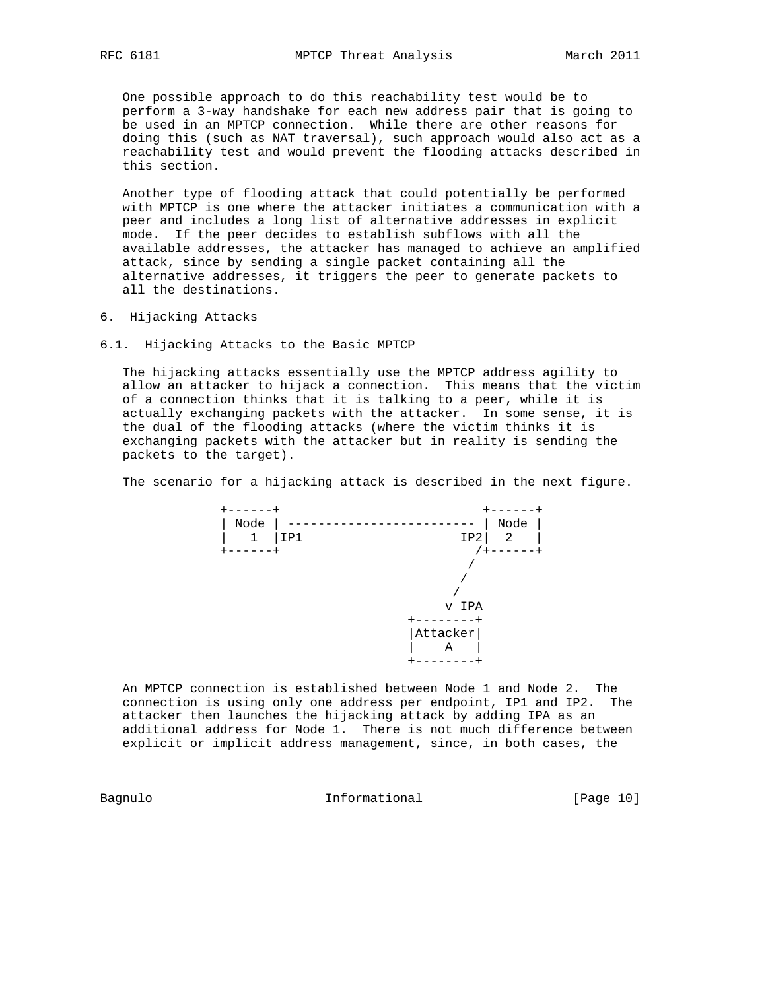One possible approach to do this reachability test would be to perform a 3-way handshake for each new address pair that is going to be used in an MPTCP connection. While there are other reasons for doing this (such as NAT traversal), such approach would also act as a reachability test and would prevent the flooding attacks described in this section.

 Another type of flooding attack that could potentially be performed with MPTCP is one where the attacker initiates a communication with a peer and includes a long list of alternative addresses in explicit mode. If the peer decides to establish subflows with all the available addresses, the attacker has managed to achieve an amplified attack, since by sending a single packet containing all the alternative addresses, it triggers the peer to generate packets to all the destinations.

- 6. Hijacking Attacks
- 6.1. Hijacking Attacks to the Basic MPTCP

 The hijacking attacks essentially use the MPTCP address agility to allow an attacker to hijack a connection. This means that the victim of a connection thinks that it is talking to a peer, while it is actually exchanging packets with the attacker. In some sense, it is the dual of the flooding attacks (where the victim thinks it is exchanging packets with the attacker but in reality is sending the packets to the target).

The scenario for a hijacking attack is described in the next figure.



 An MPTCP connection is established between Node 1 and Node 2. The connection is using only one address per endpoint, IP1 and IP2. The attacker then launches the hijacking attack by adding IPA as an additional address for Node 1. There is not much difference between explicit or implicit address management, since, in both cases, the

Bagnulo 10 Informational 10 Page 10]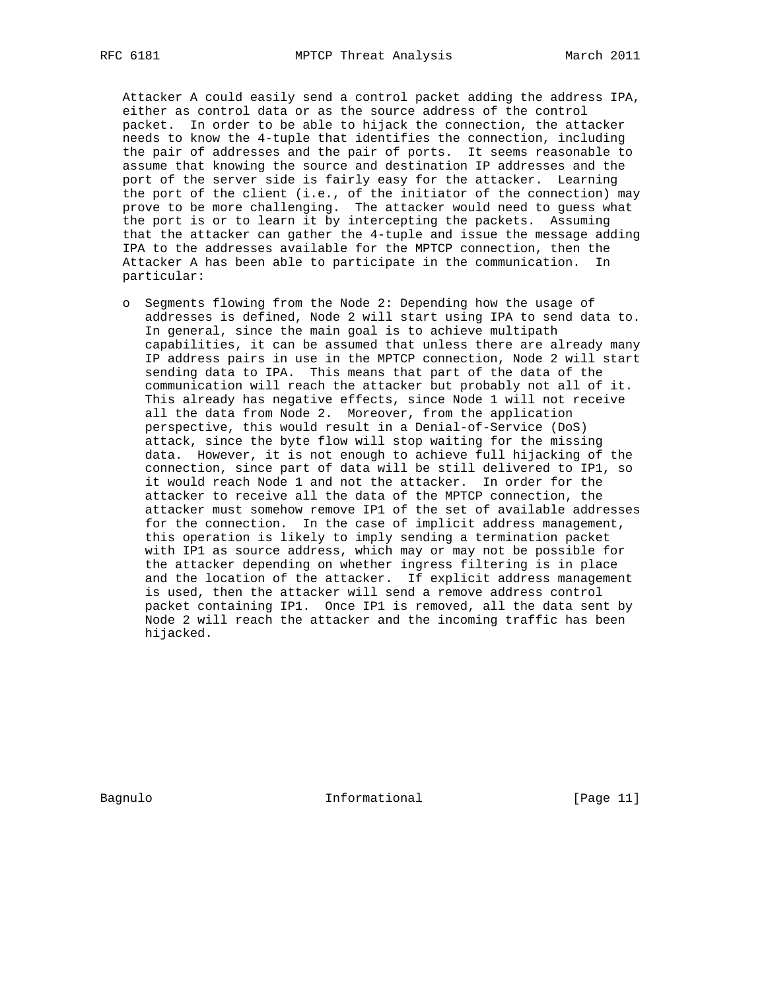Attacker A could easily send a control packet adding the address IPA, either as control data or as the source address of the control packet. In order to be able to hijack the connection, the attacker needs to know the 4-tuple that identifies the connection, including the pair of addresses and the pair of ports. It seems reasonable to assume that knowing the source and destination IP addresses and the port of the server side is fairly easy for the attacker. Learning the port of the client (i.e., of the initiator of the connection) may prove to be more challenging. The attacker would need to guess what the port is or to learn it by intercepting the packets. Assuming that the attacker can gather the 4-tuple and issue the message adding IPA to the addresses available for the MPTCP connection, then the Attacker A has been able to participate in the communication. In particular:

 o Segments flowing from the Node 2: Depending how the usage of addresses is defined, Node 2 will start using IPA to send data to. In general, since the main goal is to achieve multipath capabilities, it can be assumed that unless there are already many IP address pairs in use in the MPTCP connection, Node 2 will start sending data to IPA. This means that part of the data of the communication will reach the attacker but probably not all of it. This already has negative effects, since Node 1 will not receive all the data from Node 2. Moreover, from the application perspective, this would result in a Denial-of-Service (DoS) attack, since the byte flow will stop waiting for the missing data. However, it is not enough to achieve full hijacking of the connection, since part of data will be still delivered to IP1, so it would reach Node 1 and not the attacker. In order for the attacker to receive all the data of the MPTCP connection, the attacker must somehow remove IP1 of the set of available addresses for the connection. In the case of implicit address management, this operation is likely to imply sending a termination packet with IP1 as source address, which may or may not be possible for the attacker depending on whether ingress filtering is in place and the location of the attacker. If explicit address management is used, then the attacker will send a remove address control packet containing IP1. Once IP1 is removed, all the data sent by Node 2 will reach the attacker and the incoming traffic has been hijacked.

Bagnulo **Informational** Informational [Page 11]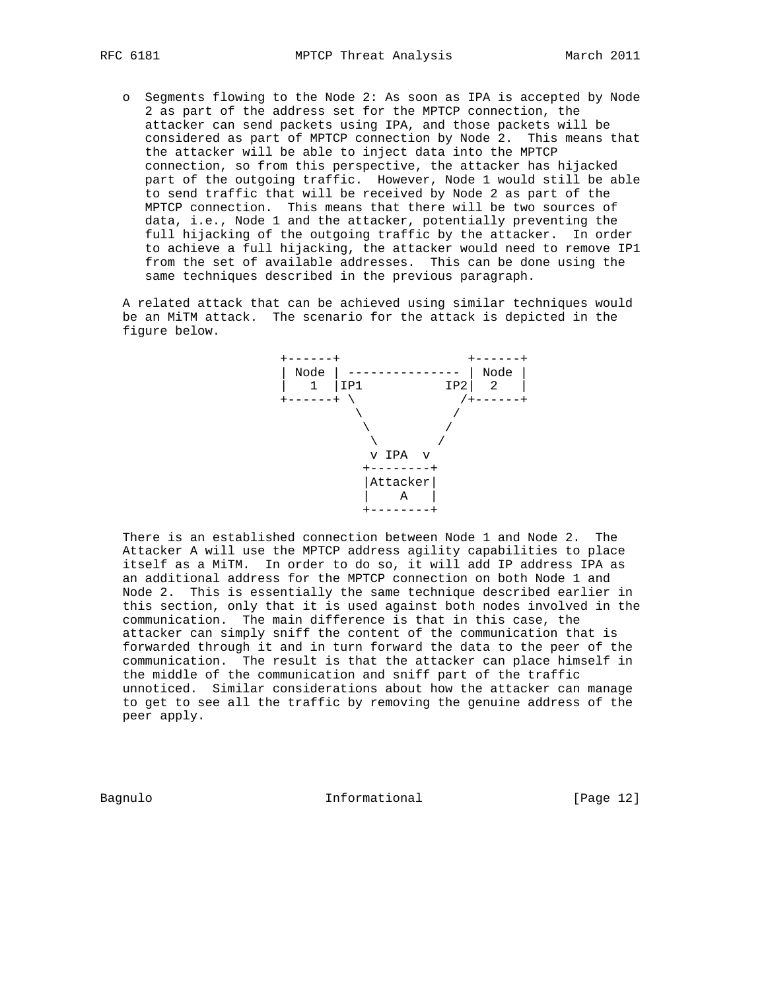o Segments flowing to the Node 2: As soon as IPA is accepted by Node 2 as part of the address set for the MPTCP connection, the attacker can send packets using IPA, and those packets will be considered as part of MPTCP connection by Node 2. This means that the attacker will be able to inject data into the MPTCP connection, so from this perspective, the attacker has hijacked part of the outgoing traffic. However, Node 1 would still be able to send traffic that will be received by Node 2 as part of the MPTCP connection. This means that there will be two sources of data, i.e., Node 1 and the attacker, potentially preventing the full hijacking of the outgoing traffic by the attacker. In order to achieve a full hijacking, the attacker would need to remove IP1 from the set of available addresses. This can be done using the same techniques described in the previous paragraph.

 A related attack that can be achieved using similar techniques would be an MiTM attack. The scenario for the attack is depicted in the figure below.



 There is an established connection between Node 1 and Node 2. The Attacker A will use the MPTCP address agility capabilities to place itself as a MiTM. In order to do so, it will add IP address IPA as an additional address for the MPTCP connection on both Node 1 and Node 2. This is essentially the same technique described earlier in this section, only that it is used against both nodes involved in the communication. The main difference is that in this case, the attacker can simply sniff the content of the communication that is forwarded through it and in turn forward the data to the peer of the communication. The result is that the attacker can place himself in the middle of the communication and sniff part of the traffic unnoticed. Similar considerations about how the attacker can manage to get to see all the traffic by removing the genuine address of the peer apply.

Bagnulo 1nformational [Page 12]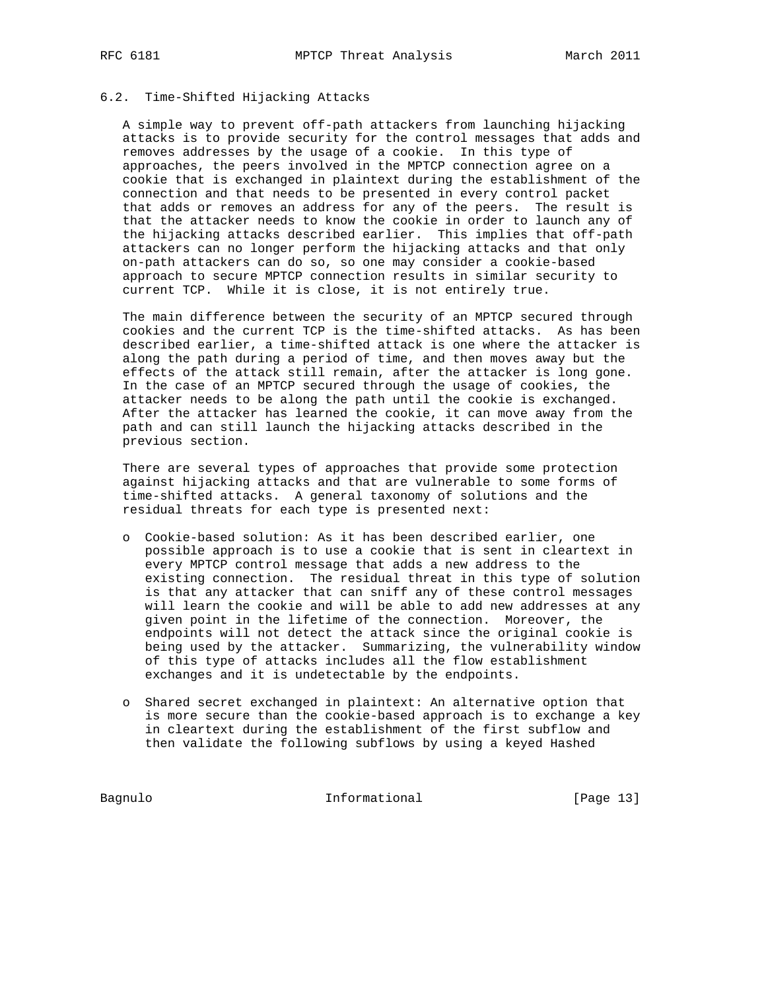### 6.2. Time-Shifted Hijacking Attacks

 A simple way to prevent off-path attackers from launching hijacking attacks is to provide security for the control messages that adds and removes addresses by the usage of a cookie. In this type of approaches, the peers involved in the MPTCP connection agree on a cookie that is exchanged in plaintext during the establishment of the connection and that needs to be presented in every control packet that adds or removes an address for any of the peers. The result is that the attacker needs to know the cookie in order to launch any of the hijacking attacks described earlier. This implies that off-path attackers can no longer perform the hijacking attacks and that only on-path attackers can do so, so one may consider a cookie-based approach to secure MPTCP connection results in similar security to current TCP. While it is close, it is not entirely true.

 The main difference between the security of an MPTCP secured through cookies and the current TCP is the time-shifted attacks. As has been described earlier, a time-shifted attack is one where the attacker is along the path during a period of time, and then moves away but the effects of the attack still remain, after the attacker is long gone. In the case of an MPTCP secured through the usage of cookies, the attacker needs to be along the path until the cookie is exchanged. After the attacker has learned the cookie, it can move away from the path and can still launch the hijacking attacks described in the previous section.

 There are several types of approaches that provide some protection against hijacking attacks and that are vulnerable to some forms of time-shifted attacks. A general taxonomy of solutions and the residual threats for each type is presented next:

- o Cookie-based solution: As it has been described earlier, one possible approach is to use a cookie that is sent in cleartext in every MPTCP control message that adds a new address to the existing connection. The residual threat in this type of solution is that any attacker that can sniff any of these control messages will learn the cookie and will be able to add new addresses at any given point in the lifetime of the connection. Moreover, the endpoints will not detect the attack since the original cookie is being used by the attacker. Summarizing, the vulnerability window of this type of attacks includes all the flow establishment exchanges and it is undetectable by the endpoints.
- o Shared secret exchanged in plaintext: An alternative option that is more secure than the cookie-based approach is to exchange a key in cleartext during the establishment of the first subflow and then validate the following subflows by using a keyed Hashed

Bagnulo 1nformational [Page 13]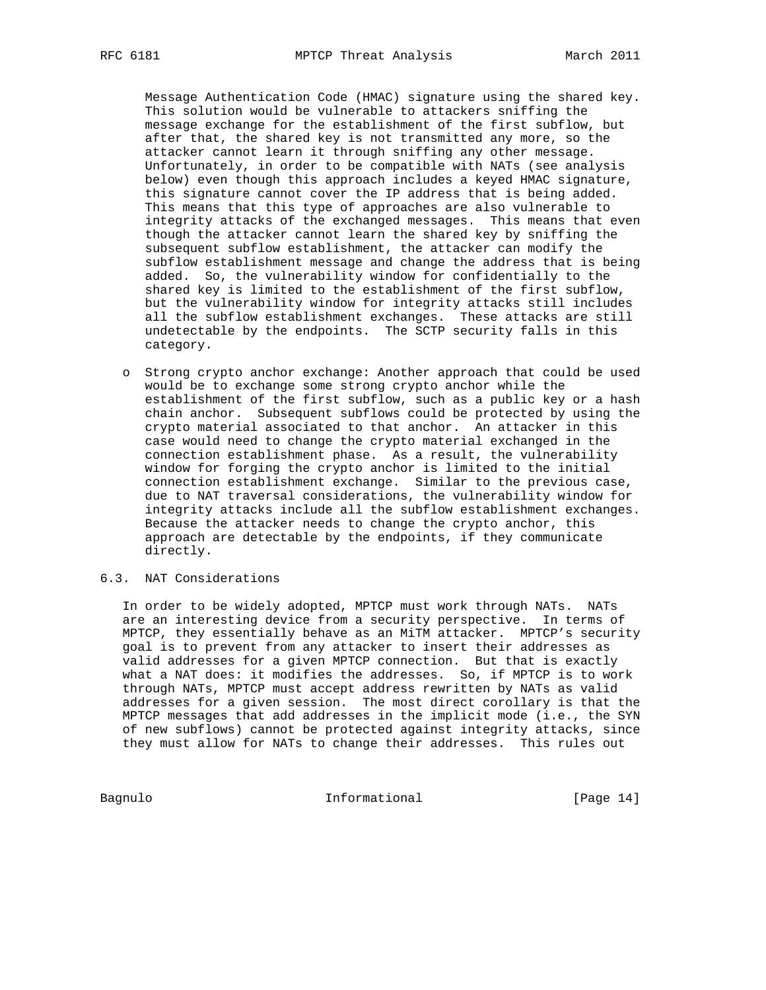Message Authentication Code (HMAC) signature using the shared key. This solution would be vulnerable to attackers sniffing the message exchange for the establishment of the first subflow, but after that, the shared key is not transmitted any more, so the attacker cannot learn it through sniffing any other message. Unfortunately, in order to be compatible with NATs (see analysis below) even though this approach includes a keyed HMAC signature, this signature cannot cover the IP address that is being added. This means that this type of approaches are also vulnerable to integrity attacks of the exchanged messages. This means that even though the attacker cannot learn the shared key by sniffing the subsequent subflow establishment, the attacker can modify the subflow establishment message and change the address that is being added. So, the vulnerability window for confidentially to the shared key is limited to the establishment of the first subflow, but the vulnerability window for integrity attacks still includes all the subflow establishment exchanges. These attacks are still undetectable by the endpoints. The SCTP security falls in this category.

 o Strong crypto anchor exchange: Another approach that could be used would be to exchange some strong crypto anchor while the establishment of the first subflow, such as a public key or a hash chain anchor. Subsequent subflows could be protected by using the crypto material associated to that anchor. An attacker in this case would need to change the crypto material exchanged in the connection establishment phase. As a result, the vulnerability window for forging the crypto anchor is limited to the initial connection establishment exchange. Similar to the previous case, due to NAT traversal considerations, the vulnerability window for integrity attacks include all the subflow establishment exchanges. Because the attacker needs to change the crypto anchor, this approach are detectable by the endpoints, if they communicate directly.

# 6.3. NAT Considerations

 In order to be widely adopted, MPTCP must work through NATs. NATs are an interesting device from a security perspective. In terms of MPTCP, they essentially behave as an MiTM attacker. MPTCP's security goal is to prevent from any attacker to insert their addresses as valid addresses for a given MPTCP connection. But that is exactly what a NAT does: it modifies the addresses. So, if MPTCP is to work through NATs, MPTCP must accept address rewritten by NATs as valid addresses for a given session. The most direct corollary is that the MPTCP messages that add addresses in the implicit mode (i.e., the SYN of new subflows) cannot be protected against integrity attacks, since they must allow for NATs to change their addresses. This rules out

Bagnulo 1nformational [Page 14]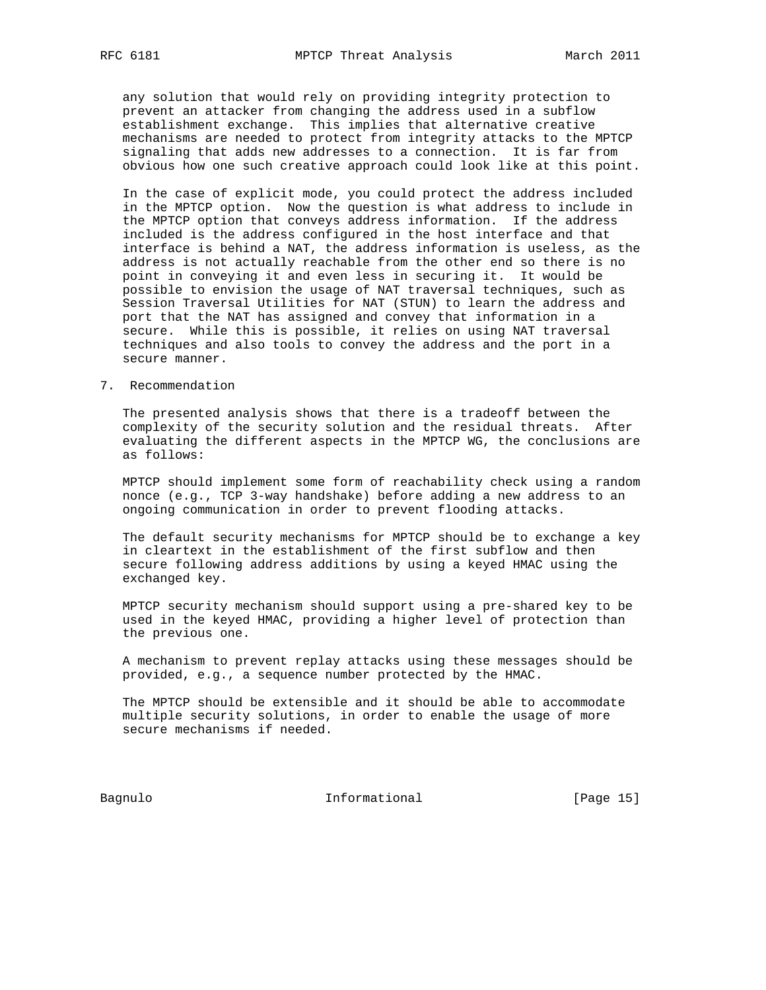any solution that would rely on providing integrity protection to prevent an attacker from changing the address used in a subflow establishment exchange. This implies that alternative creative mechanisms are needed to protect from integrity attacks to the MPTCP signaling that adds new addresses to a connection. It is far from obvious how one such creative approach could look like at this point.

 In the case of explicit mode, you could protect the address included in the MPTCP option. Now the question is what address to include in the MPTCP option that conveys address information. If the address included is the address configured in the host interface and that interface is behind a NAT, the address information is useless, as the address is not actually reachable from the other end so there is no point in conveying it and even less in securing it. It would be possible to envision the usage of NAT traversal techniques, such as Session Traversal Utilities for NAT (STUN) to learn the address and port that the NAT has assigned and convey that information in a secure. While this is possible, it relies on using NAT traversal techniques and also tools to convey the address and the port in a secure manner.

7. Recommendation

 The presented analysis shows that there is a tradeoff between the complexity of the security solution and the residual threats. After evaluating the different aspects in the MPTCP WG, the conclusions are as follows:

 MPTCP should implement some form of reachability check using a random nonce (e.g., TCP 3-way handshake) before adding a new address to an ongoing communication in order to prevent flooding attacks.

 The default security mechanisms for MPTCP should be to exchange a key in cleartext in the establishment of the first subflow and then secure following address additions by using a keyed HMAC using the exchanged key.

 MPTCP security mechanism should support using a pre-shared key to be used in the keyed HMAC, providing a higher level of protection than the previous one.

 A mechanism to prevent replay attacks using these messages should be provided, e.g., a sequence number protected by the HMAC.

 The MPTCP should be extensible and it should be able to accommodate multiple security solutions, in order to enable the usage of more secure mechanisms if needed.

Bagnulo **Informational** Informational [Page 15]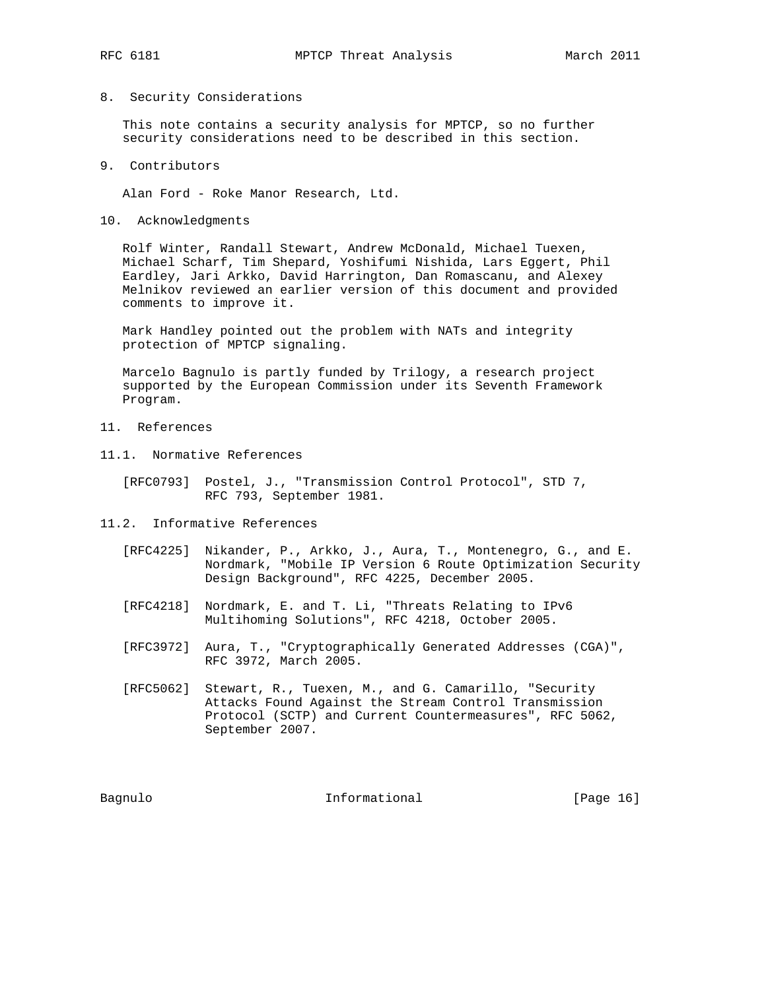### 8. Security Considerations

 This note contains a security analysis for MPTCP, so no further security considerations need to be described in this section.

#### 9. Contributors

Alan Ford - Roke Manor Research, Ltd.

10. Acknowledgments

 Rolf Winter, Randall Stewart, Andrew McDonald, Michael Tuexen, Michael Scharf, Tim Shepard, Yoshifumi Nishida, Lars Eggert, Phil Eardley, Jari Arkko, David Harrington, Dan Romascanu, and Alexey Melnikov reviewed an earlier version of this document and provided comments to improve it.

 Mark Handley pointed out the problem with NATs and integrity protection of MPTCP signaling.

 Marcelo Bagnulo is partly funded by Trilogy, a research project supported by the European Commission under its Seventh Framework Program.

- 11. References
- 11.1. Normative References
	- [RFC0793] Postel, J., "Transmission Control Protocol", STD 7, RFC 793, September 1981.
- 11.2. Informative References
	- [RFC4225] Nikander, P., Arkko, J., Aura, T., Montenegro, G., and E. Nordmark, "Mobile IP Version 6 Route Optimization Security Design Background", RFC 4225, December 2005.
	- [RFC4218] Nordmark, E. and T. Li, "Threats Relating to IPv6 Multihoming Solutions", RFC 4218, October 2005.
	- [RFC3972] Aura, T., "Cryptographically Generated Addresses (CGA)", RFC 3972, March 2005.
	- [RFC5062] Stewart, R., Tuexen, M., and G. Camarillo, "Security Attacks Found Against the Stream Control Transmission Protocol (SCTP) and Current Countermeasures", RFC 5062, September 2007.

Bagnulo 10 Informational 10 Page 16]